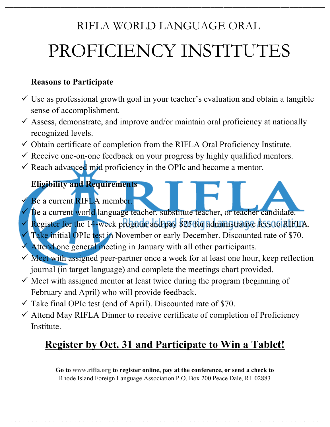# RIFLA WORLD LANGUAGE ORAL PROFICIENCY INSTITUTES

#### **Reasons to Participate**

- $\checkmark$  Use as professional growth goal in your teacher's evaluation and obtain a tangible sense of accomplishment.
- $\checkmark$  Assess, demonstrate, and improve and/or maintain oral proficiency at nationally recognized levels.
- $\checkmark$  Obtain certificate of completion from the RIFLA Oral Proficiency Institute.
- $\checkmark$  Receive one-on-one feedback on your progress by highly qualified mentors.
- Reach advanced mid proficiency in the OPIc and become a mentor.

#### **Eligibility and Requirements**

- Be a current RIFLA member.
- Be a current world language teacher, substitute teacher, or teacher candidate.
- Register for the 14-week program and pay \$25 for administrative fees to RIFLIA.
- Take initial OPIc test in November or early December. Discounted rate of \$70.
- Attend one general meeting in January with all other participants.
- $\checkmark$  Meet with assigned peer-partner once a week for at least one hour, keep reflection journal (in target language) and complete the meetings chart provided.
- $\checkmark$  Meet with assigned mentor at least twice during the program (beginning of February and April) who will provide feedback.
- $\checkmark$  Take final OPIc test (end of April). Discounted rate of \$70.
- $\checkmark$  Attend May RIFLA Dinner to receive certificate of completion of Proficiency Institute.

## **Register by Oct. 31 and Participate to Win a Tablet!**

**Go to [www.rifla.org](http://www.rifla.org) to register online, pay at the conference, or send a check to**  Rhode Island Foreign Language Association P.O. Box 200 Peace Dale, RI 02883